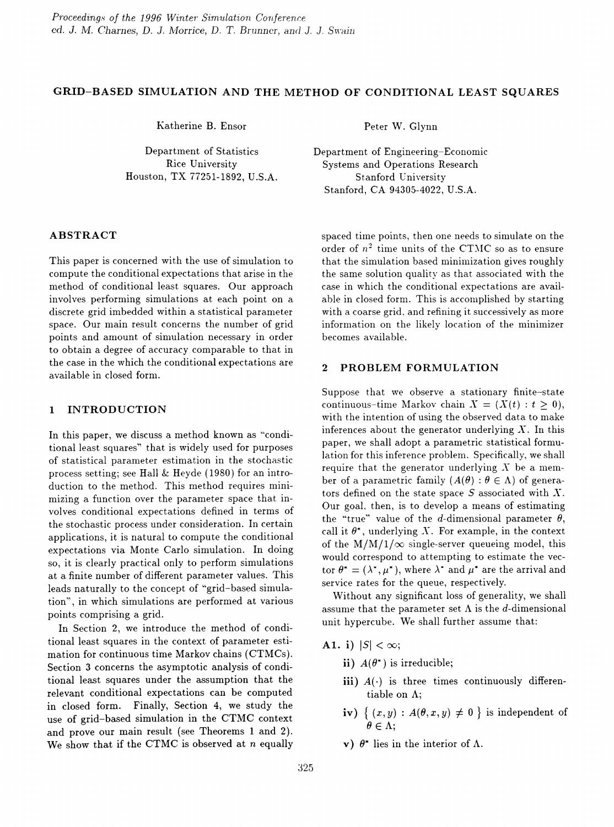## GRID-BASED SIMULATION AND THE METHOD OF CONDITIONAL LEAST SQUARES

Katherine B. Ensor

Department of Statistics Rice University Houston, TX 77251-1892, U.S.A.

ABSTRACT

This paper is concerned with the use of simulation to compute the conditional expectations that arise in the method of conditional least squares. Our approach involves performing simulations at each point on a discrete grid imbedded within a statistical parameter space. Our main result concerns the number of grid points and amount of simulation necessary in order to obtain a degree of accuracy comparable to that in the case in the which the conditional expectations are available in closed form.

# 1 INTRODUCTION

In this paper, we discuss a method known as "conditional least squares" that is widely used for purposes of statistical parameter estimation in the stochastic process setting; see Hall & Heyde (1980) for an introduction to the method. This method requires minimizing a function over the parameter space that involves conditional expectations defined in terms of the stochastic process under consideration. In certain applications, it is natural to compute the conditional expectations via Monte Carlo simulation. In doing so, it is clearly practical only to perform simulations at a finite number of different parameter values. This leads naturally to the concept of "grid-based simulation", in which simulations are performed at various points comprising a grid.

In Section 2, we introduce the method of conditional least squares in the context of parameter estimation for continuous time Markov chains (CTMCs). Section 3 concerns the asymptotic analysis of conditional least squares under the assumption that the relevant conditional expectations can be computed in closed form. Finally, Section 4, we study the use of grid-based simulation in the CTMC context and prove our main result (see Theorems 1 and 2). We show that if the CTMC is observed at *n* equally Peter W. Glynn

Department of Engineering-Economic Systems and Operations Research Stanford University Stanford, CA 94305-4022, U.S.A.

spaced time points, then one needs to simulate on the order of  $n^2$  time units of the CTMC so as to ensure that the simulation based minimization gives roughly the same solution quality as that associated with the case in which the conditional expectations are available in closed form. This is accomplished by starting with a coarse grid, and refining it successively as more information on the likely location of the minimizer becomes available.

# 2 PROBLEM FORMULATION

Suppose that we observe a stationary finite-state continuous-time Markov chain  $X = (X(t) : t \geq 0),$ with the intention of using the observed data to make inferences about the generator underlying  $X$ . In this paper, we shall adopt a parametric statistical formulation for this inference problem. Specifically, we shall require that the generator underlying  $X$  be a member of a parametric family  $(A(\theta) : \theta \in \Lambda)$  of generators defined on the state space  $S$  associated with  $X$ . Our goal, then, is to develop a means of estimating the "true" value of the d-dimensional parameter  $\theta$ , call it  $\theta^*$ , underlying X. For example, in the context of the  $M/M/1/\infty$  single-server queueing model, this would correspond to attempting to estimate the vector  $\theta^* = (\lambda^*, \mu^*)$ , where  $\lambda^*$  and  $\mu^*$  are the arrival and service rates for the queue, respectively.

Without any significant loss of generality, we shall assume that the parameter set  $\Lambda$  is the d-dimensional unit hypercube. We shall further assume that:

- A1. i)  $|S| < \infty$ ;
	- ii)  $A(\theta^*)$  is irreducible;
	- iii)  $A(\cdot)$  is three times continuously differentiable on A;
	- iv)  $\{ (x, y) : A(\theta, x, y) \neq 0 \}$  is independent of  $\theta \in \Lambda$ ;
	- v)  $\theta^*$  lies in the interior of  $\Lambda$ .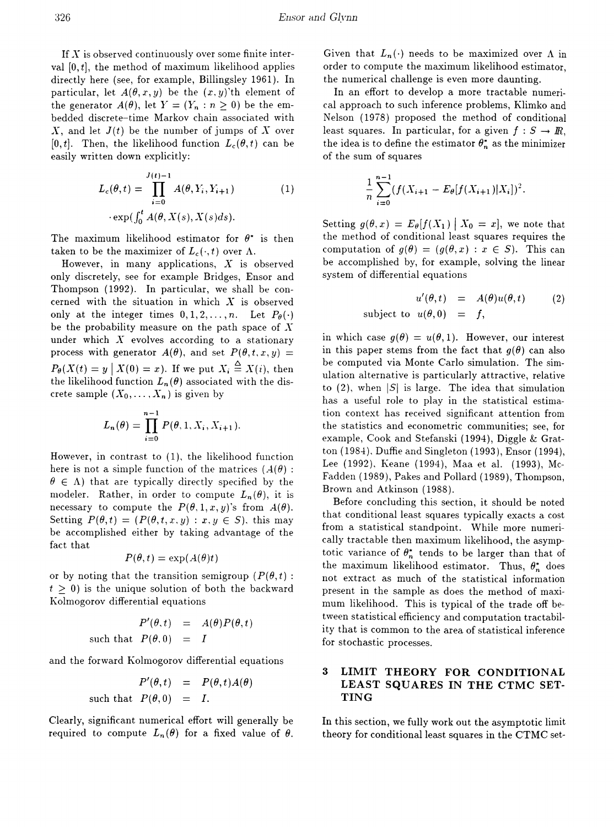If  $\overline{X}$  is observed continuously over some finite interval  $[0, t]$ , the method of maximum likelihood applies directly here (see, for example, Billingsley 1961). In particular, let  $A(\theta, x, y)$  be the  $(x, y)$ 'th element of the generator  $A(\theta)$ , let  $Y = (Y_n : n \ge 0)$  be the embedded discrete-time Markov chain associated with  $X$ , and let  $J(t)$  be the number of jumps of  $X$  over  $[0, t]$ . Then, the likelihood function  $L_c(\theta, t)$  can be easily written down explicitly:

$$
L_c(\theta, t) = \prod_{i=0}^{J(t)-1} A(\theta, Y_i, Y_{i+1})
$$
  
 
$$
\cdot \exp(\int_0^t A(\theta, X(s), X(s)ds).
$$
 (1)

The maximum likelihood estimator for  $\theta^*$  is then taken to be the maximizer of  $L_c(\cdot, t)$  over  $\Lambda$ .

However, in many applications,  $X$  is observed only discretely, see for example Bridges, Ensor and Thompson (1992). In particular, we shall be concerned with the situation in which *X* is observed only at the integer times  $0, 1, 2, \ldots, n$ . Let  $P_{\theta}(\cdot)$ be the probability measure on the path space of  $X$ under which  $X$  evolves according to a stationary process with generator  $A(\theta)$ , and set  $P(\theta,t,x,y) =$  $P_{\theta}(X(t) = y \mid X(0) = x)$ . If we put  $X_i \stackrel{\Delta}{=} X(i)$ , then the likelihood function  $L_n(\theta)$  associated with the discrete sample  $(X_0, \ldots, X_n)$  is given by

$$
L_n(\theta) = \prod_{i=0}^{n-1} P(\theta, 1, X_i, X_{i+1}).
$$

However, in contrast to (1), the likelihood function here is not a simple function of the matrices ( $A(\theta)$ ):  $\theta \in \Lambda$ ) that are typically directly specified by the modeler. Rather, in order to compute  $L_n(\theta)$ , it is necessary to compute the  $P(\theta, 1, x, y)$ 's from  $A(\theta)$ . Setting  $P(\theta, t) = (P(\theta, t, x, y) : x, y \in S)$ , this may be accomplished either by taking advantage of the fact that

$$
P(\theta, t) = \exp(A(\theta)t)
$$

or by noting that the transition semigroup ( $P(\theta, t)$ ):  $t \geq 0$ ) is the unique solution of both the backward Kolmogorov differential equations

$$
P'(\theta, t) = A(\theta)P(\theta, t)
$$
  
such that  $P(\theta, 0) = I$ 

and the forward Kolmogorov differential equations

$$
P'(\theta, t) = P(\theta, t) A(\theta)
$$
  
such that  $P(\theta, 0) = I$ .

Clearly, significant numerical effort will generally be required to compute  $L_n(\theta)$  for a fixed value of  $\theta$ .

Given that  $L_n(\cdot)$  needs to be maximized over  $\Lambda$  in order to compute the maximum likelihood estimator, the numerical challenge is even more daunting.

In an effort to develop a more tractable numerical approach to such inference problems, Klimko and Nelson (1978) proposed the method of conditional least squares. In particular, for a given  $f : S \to \mathbb{R}$ , the idea is to define the estimator  $\theta_n^*$  as the minimizer of the sum of squares

$$
\frac{1}{n}\sum_{i=0}^{n-1}(f(X_{i+1}-E_{\theta}[f(X_{i+1})|X_i])^2.
$$

Setting  $g(\theta, x) = E_{\theta}[f(X_1) | X_0 = x]$ , we note that the method of conditional least squares requires the computation of  $g(\theta) = (g(\theta, x) : x \in S)$ . This can be accomplished by, for example, solving the linear system of differential equations

$$
u'(\theta, t) = A(\theta)u(\theta, t)
$$
 (2)  
subject to  $u(\theta, 0) = f$ ,

in which case  $g(\theta) = u(\theta, 1)$ . However, our interest in this paper stems from the fact that  $q(\theta)$  can also be computed via Monte Carlo simulation. The simulation alternative is particularly attractive, relative to (2), when  $|S|$  is large. The idea that simulation has a useful role to play in the statistical estimation context has received significant attention from the statistics and econometric communities; see, for example, Cook and Stefanski (1994), Diggle & Gratton (1984), Duffie and Singleton (1993), Ensor (1994), Lee (1992). Keane (1994), Maa et a1. (1993), Mc-Fadden (1989), Pakes and Pollard (1989), Thompson, Brown and Atkinson (1988).

Before concluding this section, it should be noted that conditional least squares typically exacts a cost from a statistical standpoint. While more numerically tractable then maximum likelihood, the asymptotic variance of  $\theta_n^*$  tends to be larger than that of the maximum likelihood estimator. Thus,  $\theta_n^*$  does not extract as much of the statistical information present in the sample as does the method of maximum likelihood. This is typical of the trade off between statistical efficiency and computation tractability that is common to the area of statistical inference for stochastic processes.

# 3 LIMIT THEORY FOR CONDITIONAL LEAST SQUARES IN THE CTMC SET-TING

In this section, we fully work out the asymptotic limit theory for conditional least squares in the CTMC set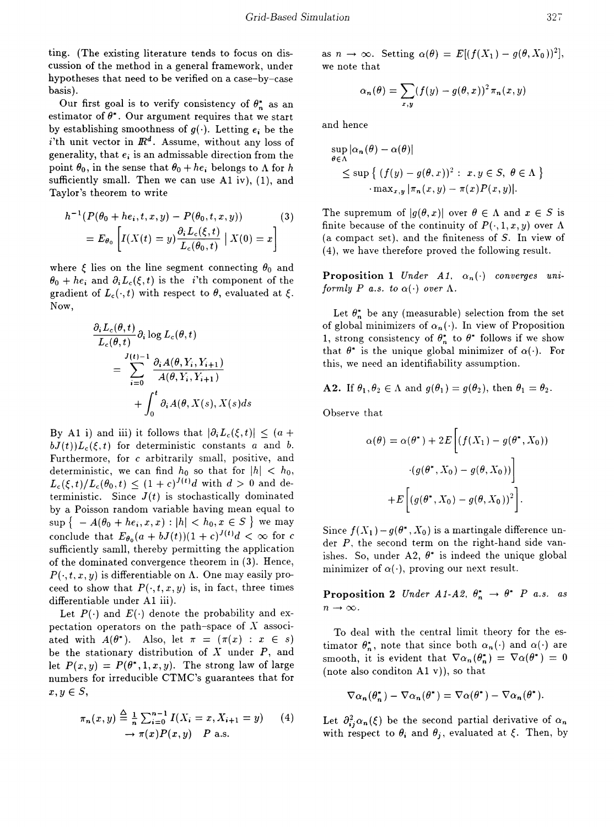ting. (The existing literature tends to focus on discussion of the method in a general framework, under hypotheses that need to be verified on a case-by-case basis).

Our first goal is to verify consistency of  $\theta_n^*$  as an estimator of  $\theta^*$ . Our argument requires that we start by establishing smoothness of  $q(\cdot)$ . Letting  $e_i$  be the i'th unit vector in  $\mathbb{R}^d$ . Assume, without any loss of generality, that *ei* is an admissable direction from the point  $\theta_0$ , in the sense that  $\theta_0 + h e_i$  belongs to  $\Lambda$  for *h* sufficiently small. Then we can use  $A1$  iv),  $(1)$ , and Taylor's theorem to write

$$
h^{-1}(P(\theta_0 + he_i, t, x, y) - P(\theta_0, t, x, y))
$$
  
=  $E_{\theta_0} \left[ I(X(t) = y) \frac{\partial_i L_c(\xi, t)}{L_c(\theta_0, t)} \mid X(0) = x \right]$  (3)

where  $\xi$  lies on the line segment connecting  $\theta_0$  and  $\theta_0 + h e_i$  and  $\partial_i L_c(\xi, t)$  is the *i*'th component of the gradient of  $L_c(\cdot,t)$  with respect to  $\theta$ , evaluated at  $\xi$ . Now,

$$
\frac{\partial_i L_c(\theta, t)}{L_c(\theta, t)} \partial_i \log L_c(\theta, t)
$$
\n
$$
= \sum_{i=0}^{J(t)-1} \frac{\partial_i A(\theta, Y_i, Y_{i+1})}{A(\theta, Y_i, Y_{i+1})}
$$
\n
$$
+ \int_0^t \partial_i A(\theta, X(s), X(s) ds)
$$

By A1 i) and iii) it follows that  $|\partial_i L_c(\xi, t)| \leq (a + 1)$  $bJ(t)$ ) $L_c(\xi, t)$  for deterministic constants *a* and *b*. Furthermore, for  $c$  arbitrarily small, positive, and deterministic, we can find  $h_0$  so that for  $|h| < h_0$ ,  $L_c(\xi, t)/L_c(\theta_0, t) \le (1+c)^{J(t)}d$  with  $d > 0$  and deterministic. Since  $J(t)$  is stochastically dominated by a Poisson random variable having mean equal to  $\sup \{ -A(\theta_0 + he_i, x, x) : |h| < h_0, x \in S \}$  we may conclude that  $E_{\theta_0}(a + bJ(t))(1+c)^{J(t)}d < \infty$  for c sufficiently samll, thereby permitting the application of the dominated convergence theorem in (3). Hence,  $P(\cdot, t, x, y)$  is differentiable on  $\Lambda$ . One may easily proceed to show that  $P(\cdot, t, x, y)$  is, in fact, three times differentiable under A1 iii).

Let  $P(\cdot)$  and  $E(\cdot)$  denote the probability and expectation operators on the path-space of  $X$  associated with  $A(\theta^*)$ . Also, let  $\pi = (\pi(x) : x \in s)$ be the stationary distribution of  $X$  under  $P$ , and let  $P(x, y) = P(\theta^*, 1, x, y)$ . The strong law of large numbers for irreducible CTMC's guarantees that for  $x, y \in S$ ,

$$
\pi_n(x, y) \stackrel{\Delta}{=} \frac{1}{n} \sum_{i=0}^{n-1} I(X_i = x, X_{i+1} = y) \tag{4}
$$
  

$$
\to \pi(x)P(x, y) \quad P \text{ a.s.}
$$

as  $n \to \infty$ . Setting  $\alpha(\theta) = E[(f(X_1) - g(\theta, X_0))^2],$ we note that

$$
\alpha_n(\theta) = \sum_{x,y} (f(y) - g(\theta, x))^2 \pi_n(x, y)
$$

and hence

$$
\sup_{\theta \in \Lambda} |\alpha_n(\theta) - \alpha(\theta)|
$$
  
\$\leq\$ sup { (f(y) - g(\theta, x))<sup>2</sup> : x, y \in S, \theta \in \Lambda }  
· max<sub>x,y</sub> |π<sub>n</sub>(x, y) - π(x)P(x, y)|.

The supremum of  $|q(\theta, x)|$  over  $\theta \in \Lambda$  and  $x \in S$  is finite because of the continuity of  $P(\cdot, 1, x, y)$  over  $\Lambda$ (a compact set), and the finiteness of  $S$ . In view of (4), we have therefore proved the following result.

**Proposition 1** *Under A1*,  $\alpha_n(\cdot)$  *converges uniformly P a.s. to*  $\alpha(\cdot)$  *over*  $\Lambda$ *.* 

Let  $\theta_n^*$  be any (measurable) selection from the set of global minimizers of  $\alpha_n(\cdot)$ . In view of Proposition 1, strong consistency of  $\theta_n^*$  to  $\theta^*$  follows if we show that  $\theta^*$  is the unique global minimizer of  $\alpha(\cdot)$ . For this, we need an identifiability assumption.

**A2.** If  $\theta_1, \theta_2 \in \Lambda$  and  $g(\theta_1) = g(\theta_2)$ , then  $\theta_1 = \theta_2$ .

Observe that

$$
\alpha(\theta) = \alpha(\theta^*) + 2E\left[\left(f(X_1) - g(\theta^*, X_0)\right)\right]
$$

$$
\left(g(\theta^*, X_0) - g(\theta, X_0)\right)\right]
$$

$$
+ E\left[\left(g(\theta^*, X_0) - g(\theta, X_0)\right)^2\right].
$$

Since  $f(X_1) - g(\theta^*, X_0)$  is a martingale difference under P, the second term on the right-hand side vanishes. So, under A2,  $\theta^*$  is indeed the unique global minimizer of  $\alpha(\cdot)$ , proving our next result.

**Proposition 2** *Under*  $A1-A2$ ,  $\theta_n^* \rightarrow \theta^*$  *P a.s. as*  $n \to \infty$ .

To deal with the central limit theory for the estimator  $\theta_n^*$ , note that since both  $\alpha_n(\cdot)$  and  $\alpha(\cdot)$  are smooth, it is evident that  $\nabla \alpha_n(\theta_n^*) = \nabla \alpha(\theta^*) = 0$ (note also conditon  $A1 v$ ), so that

$$
\nabla \alpha_n(\theta_n^*) - \nabla \alpha_n(\theta^*) = \nabla \alpha(\theta^*) - \nabla \alpha_n(\theta^*).
$$

Let  $\partial^2_{ij}\alpha_n(\xi)$  be the second partial derivative of  $\alpha_n$ with respect to  $\theta_i$  and  $\theta_j$ , evaluated at  $\xi$ . Then, by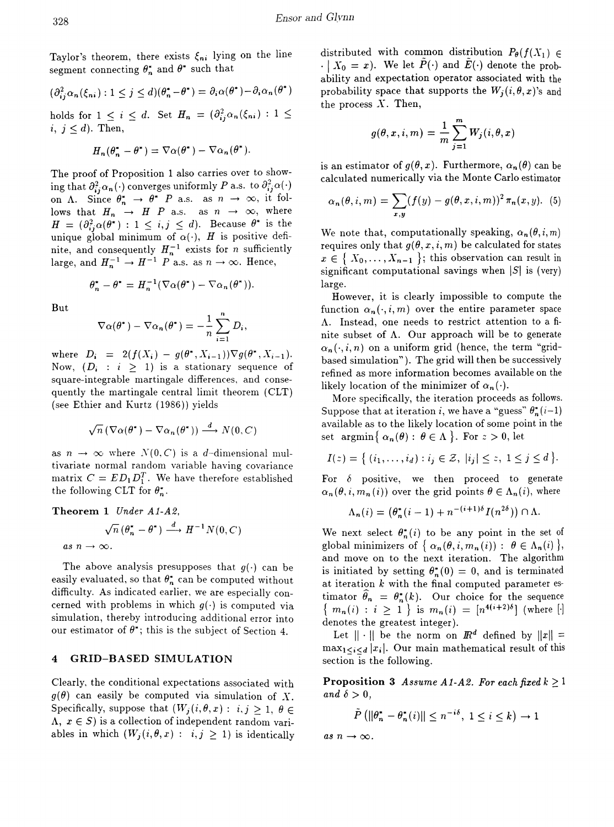Taylor's theorem, there exists  $\xi_{ni}$  lying on the line segment connecting  $\theta_n^*$  and  $\theta^*$  such that

$$
(\partial_{ij}^2 \alpha_n(\xi_{ni}) : 1 \le j \le d)(\theta_n^* - \theta^*) = \partial_i \alpha(\theta^*) - \partial_i \alpha_n(\theta^*)
$$

holds for  $1 \leq i \leq d$ . Set  $H_n = (\partial_{ij}^2 \alpha_n(\xi_{ni}) : 1 \leq$  $i, j \leq d$ ). Then,

$$
H_n(\theta_n^* - \theta^*) = \nabla \alpha(\theta^*) - \nabla \alpha_n(\theta^*).
$$

The proof of Proposition 1 also carries over to showing that  $\partial_{ij}^2 \alpha_n(\cdot)$  converges uniformly P a.s. to  $\partial_{ij}^2 \alpha(\cdot)$ on  $\Lambda$ . Since  $\theta_n^* \to \theta^*$  P a.s. as  $n \to \infty$ , it follows that  $H_n \rightarrow H$  P a.s. as  $n \rightarrow \infty$ , where  $H = (\partial_{ij}^2 \alpha(\theta^*) : 1 \leq i, j \leq d).$  Because  $\theta^*$  is the unique global minimum of  $\alpha(\cdot)$ , H is positive definite, and consequently  $H_n^{-1}$  exists for *n* sufficiently large, and  $H_n^{-1} \to H^{-1}$  P a.s. as  $n \to \infty$ . Hence,

$$
\theta_n^* - \theta^* = H_n^{-1}(\nabla \alpha(\theta^*) - \nabla \alpha_n(\theta^*)).
$$

But

$$
\nabla \alpha(\theta^*) - \nabla \alpha_n(\theta^*) = -\frac{1}{n} \sum_{i=1}^n D_i,
$$

where  $D_i = 2(f(X_i) - g(\theta^*, X_{i-1})) \nabla g(\theta^*, X_{i-1}).$ Now,  $(D_i : i \geq 1)$  is a stationary sequence of square-integrable martingale differences, and consequently the martingale central limit theorem (CLT) (see Ethier and Kurtz (1986)) yields

$$
\sqrt{n} \left( \nabla \alpha(\theta^*) - \nabla \alpha_n(\theta^*) \right) \stackrel{d}{\longrightarrow} N(0, C)
$$

as  $n \to \infty$  where  $N(0, C)$  is a d-dimensional multivariate normal random variable having covariance matrix  $C = ED_1D_1^T$ . We have therefore established the following CLT for  $\theta_n^*$ .

**Theorem 1** Under A1-A2,  
\n
$$
\sqrt{n} (\theta_n^* - \theta^*) \xrightarrow{d} H^{-1} N(0, C)
$$
\nas  $n \to \infty$ .

The above analysis presupposes that  $g(\cdot)$  can be easily evaluated, so that  $\theta_n^*$  can be computed without difficulty. As indicated earlier, we are especially concerned with problems in which  $g(\cdot)$  is computed via simulation, thereby introducing additional error into our estimator of  $\theta^*$ ; this is the subject of Section 4.

#### **GRID-BASED SIMULATION**  $\boldsymbol{4}$

Clearly, the conditional expectations associated with  $g(\theta)$  can easily be computed via simulation of X. Specifically, suppose that  $(W_j(i, \theta, x): i, j \geq 1, \theta \in$  $\Lambda, x \in S$  is a collection of independent random variables in which  $(W_j(i, \theta, x) : i, j \ge 1)$  is identically

distributed with common distribution  $P_{\theta}(f(X_1)) \in$  $\cdot | X_0 = x$ ). We let  $P(\cdot)$  and  $E(\cdot)$  denote the probability and expectation operator associated with the probability space that supports the  $W_i(i, \theta, x)$ 's and the process  $X$ . Then,

$$
g(\theta, x, i, m) = \frac{1}{m} \sum_{j=1}^{m} W_j(i, \theta, x)
$$

is an estimator of  $g(\theta, x)$ . Furthermore,  $\alpha_n(\theta)$  can be calculated numerically via the Monte Carlo estimator

$$
\alpha_n(\theta, i, m) = \sum_{x,y} (f(y) - g(\theta, x, i, m))^2 \pi_n(x, y). \tag{5}
$$

We note that, computationally speaking,  $\alpha_n(\theta, i, m)$ requires only that  $g(\theta, x, i, m)$  be calculated for states  $x \in \{X_0, \ldots, X_{n-1}\}\; ;\;$  this observation can result in significant computational savings when  $|S|$  is (very) large.

However, it is clearly impossible to compute the function  $\alpha_n(\cdot, i, m)$  over the entire parameter space A. Instead, one needs to restrict attention to a finite subset of  $\Lambda$ . Our approach will be to generate  $\alpha_n(\cdot, i, n)$  on a uniform grid (hence, the term "gridbased simulation"). The grid will then be successively refined as more information becomes available on the likely location of the minimizer of  $\alpha_n(\cdot)$ .

More specifically, the iteration proceeds as follows. Suppose that at iteration *i*, we have a "guess"  $\theta_n^*(i-1)$ available as to the likely location of some point in the set  $\arg\min \{ \alpha_n(\theta) : \theta \in \Lambda \}.$  For  $z > 0$ , let

$$
I(z) = \{ (i_1, \ldots, i_d) : i_j \in \mathcal{Z}, |i_j| \leq z, 1 \leq j \leq d \}.
$$

For  $\delta$  positive, we then proceed to generate  $\alpha_n(\theta, i, m_n(i))$  over the grid points  $\theta \in \Lambda_n(i)$ , where

$$
\Lambda_n(i) = \left(\theta_n^*(i-1) + n^{-(i+1)\delta} I(n^{2\delta})\right) \cap \Lambda.
$$

We next select  $\theta_n^*(i)$  to be any point in the set of global minimizers of  $\{ \alpha_n(\theta, i, m_n(i)) : \theta \in \Lambda_n(i) \},\$ and move on to the next iteration. The algorithm is initiated by setting  $\theta_n^*(0) = 0$ , and is terminated at iteration  $k$  with the final computed parameter estimator  $\hat{\theta}_n = \theta_n^*(k)$ . Our choice for the sequence  ${m_n(i) : i \ge 1}$  is  $m_n(i) = [n^{4(i+2)\delta}]$  (where [.] denotes the greatest integer).

Let  $\|\cdot\|$  be the norm on  $\mathbb{R}^d$  defined by  $\|x\| =$  $\max_{1 \leq i \leq d} |x_i|$ . Our main mathematical result of this section is the following.

**Proposition 3** Assume A1-A2. For each fixed  $k \ge 1$ and  $\delta > 0$ ,

$$
\tilde{P}\left(||\theta_n^* - \theta_n^*(i)|| \le n^{-i\delta}, \ 1 \le i \le k\right) \to 1
$$

as  $n \to \infty$ .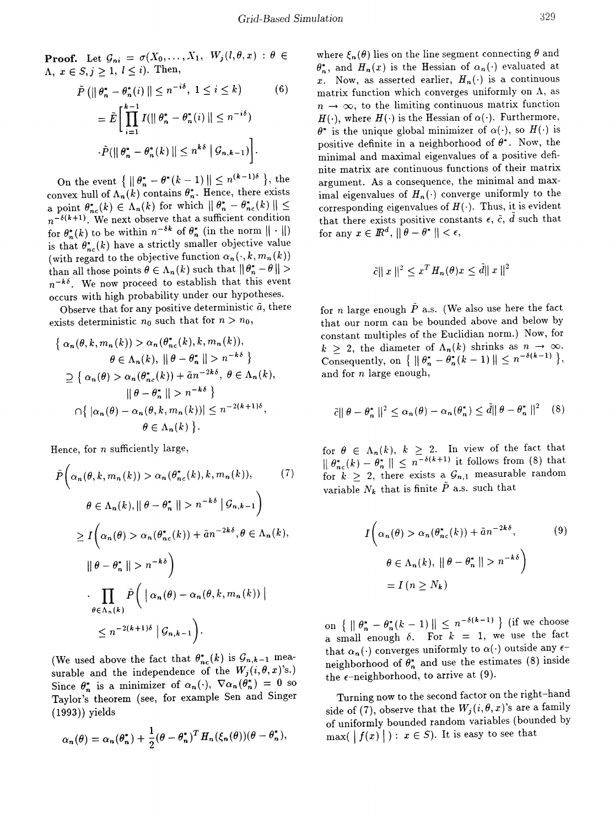**Proof.** Let  $\mathcal{G}_{ni} = \sigma(X_0, \ldots, X_1, W_j(l, \theta, x) : \theta \in$  $\Lambda, x \in S, j \geq 1, l \leq i$ ). Then,

$$
\tilde{P}\left(\left\|\theta_{n}^{*}-\theta_{n}^{*}(i)\right\| \leq n^{-i\delta}, 1 \leq i \leq k\right) \qquad (6)
$$
\n
$$
= \tilde{E}\left[\prod_{i=1}^{k-1} I(\left\|\theta_{n}^{*}-\theta_{n}^{*}(i)\right\| \leq n^{-i\delta})\right]
$$
\n
$$
\cdot \tilde{P}(\left\|\theta_{n}^{*}-\theta_{n}^{*}(k)\right\| \leq n^{k\delta} \left|\mathcal{G}_{n,k-1}\right| \right].
$$

On the event  $\{ \| \theta_n^* - \theta^*(k-1) \| \leq n^{(k-1)\delta} \},\$ the convex hull of  $\Lambda_n(k)$  contains  $\theta_n^*$ . Hence, there exists a point  $\theta_{nc}^{*}(k) \in \Lambda_n(k)$  for which  $\|\theta_n^{*} - \theta_{nc}^{*}(k)\| \leq$  $n^{-\delta(k+1)}$ . We next observe that a sufficient condition for  $\theta_n^*(k)$  to be within  $n^{-\delta k}$  of  $\theta_n^*$  (in the norm  $\|\cdot\|$ ) is that  $\theta_{nc}^{*}(k)$  have a strictly smaller objective value (with regard to the objective function  $\alpha_n(\cdot, k, m_n(k))$ than all those points  $\theta \in \Lambda_n(k)$  such that  $\|\theta_n^* - \theta\| > n^{-k\delta}$ . We now proceed to establish that this event occurs with high probability under our hypotheses.

Observe that for any positive deterministic  $\tilde{a}$ , there exists deterministic  $n_0$  such that for  $n > n_0$ ,

$$
\left\{\n\begin{aligned}\n\alpha_n(\theta, k, m_n(k)) > \alpha_n(\theta_{nc}^*(k), k, m_n(k)), \\
\theta &\in \Lambda_n(k), \|\theta - \theta_n^*\| > n^{-k\delta}\n\end{aligned}\n\right\} \\
\supseteq\n\left\{\n\begin{aligned}\n\alpha_n(\theta) > \alpha_n(\theta_{nc}^*(k)) + \tilde{a}n^{-2k\delta}, \ \theta &\in \Lambda_n(k), \\
\|\theta - \theta_n^*\| > n^{-k\delta}\n\end{aligned}\n\right\} \\
\cap\n\left\{\n\begin{aligned}\n|\alpha_n(\theta) - \alpha_n(\theta, k, m_n(k))| &\le n^{-2(k+1)\delta}, \\
\theta &\in \Lambda_n(k)\n\end{aligned}\n\right\}.\n\end{aligned}
$$

Hence, for *n* sufficiently large,

$$
\tilde{P}\left(\alpha_n(\theta, k, m_n(k)) > \alpha_n(\theta_{nc}^*(k), k, m_n(k)), \qquad (7)
$$
\n
$$
\theta \in \Lambda_n(k), \|\theta - \theta_n^*\| > n^{-k\delta} \left| \mathcal{G}_{n,k-1} \right| \right)
$$
\n
$$
\geq I\left(\alpha_n(\theta) > \alpha_n(\theta_{nc}^*(k)) + \tilde{a}n^{-2k\delta}, \theta \in \Lambda_n(k), \|\theta - \theta_n^*\| > n^{-k\delta} \right)
$$
\n
$$
\cdot \prod_{\theta \in \Lambda_n(k)} \tilde{P}\left(\left| \alpha_n(\theta) - \alpha_n(\theta, k, m_n(k)) \right| \right)
$$
\n
$$
\leq n^{-2(k+1)\delta} \left| \mathcal{G}_{n,k-1} \right|.
$$
\n(1)

(We used above the fact that  $\theta_{nc}^*(k)$  is  $\mathcal{G}_{n,k-1}$  measurable and the independence of the  $W_j (i, \theta, x)$ 's.) Since  $\theta_n^*$  is a minimizer of  $\alpha_n(\cdot)$ ,  $\nabla \alpha_n(\theta_n^*) = 0$  so Taylor's theorem (see, for example Sen and Singer (1993)) yields

$$
\alpha_n(\theta) = \alpha_n(\theta_n^*) + \frac{1}{2} (\theta - \theta_n^*)^T H_n(\xi_n(\theta)) (\theta - \theta_n^*),
$$

where  $\xi_n (\theta)$  lies on the line segment connecting  $\theta$  and  $\theta_n^*$ , and  $H_n(x)$  is the Hessian of  $\alpha_n(\cdot)$  evaluated at x. Now, as asserted earlier,  $H_n(\cdot)$  is a continuous matrix function which converges uniformly on  $\Lambda$ , as  $n \to \infty$ , to the limiting continuous matrix function  $H(\cdot)$ , where  $H(\cdot)$  is the Hessian of  $\alpha(\cdot)$ . Furthermore,  $\theta^*$  is the unique global minimizer of  $\alpha(\cdot)$ , so  $H(\cdot)$  is positive definite in a neighborhood of  $\theta^*$ . Now, the minimal and maximal eigenvalues of a positive definite matrix are continuous functions of their matrix argument. As a consequence, the minimal and maximal eigenvalues of  $H_n(\cdot)$  converge uniformly to the corresponding eigenvalues of  $H(\cdot)$ . Thus, it is evident that there exists positive constants  $\epsilon$ ,  $\tilde{c}$ ,  $\tilde{d}$  such that for any  $x \in \mathbb{R}^d$ ,  $\|\theta - \theta^*\| < \epsilon$ ,

$$
\tilde{c}||x||^2 \le x^T H_n(\theta)x \le d||x||^2
$$

for *n* large enough  $\tilde{P}$  a.s. (We also use here the fact that our norm can be bounded above and below by constant multiples of the Euclidian norm.) Now, for  $k \geq 2$ , the diameter of  $\Lambda_n(k)$  shrinks as  $n \to \infty$ . Consequently, on  $\{ \parallel \theta_n^* - \theta_n^*(k-1) \parallel \leq n^{-\delta(k-1)} \}$ , and for *n* large enough,

$$
\tilde{c} \|\theta - \theta_n^* \|^{2} \leq \alpha_n(\theta) - \alpha_n(\theta_n^*) \leq \tilde{d} \|\theta - \theta_n^* \|^2 \quad (8)
$$

for  $\theta \in \Lambda_n(k)$ ,  $k \geq 2$ . In view of the fact that  $\|\theta_{nc}^*(k) - \theta_n^*\| \leq n^{-\delta(k+1)}$  it follows from (8) that for  $k \geq 2$ , there exists a  $\mathcal{G}_{n,1}$  measurable random variable  $N_k$  that is finite  $\tilde{P}$  a.s. such that

$$
I\left(\alpha_n(\theta) > \alpha_n(\theta_{nc}^*(k)) + \tilde{a}n^{-2k\delta}, \qquad (9)
$$

$$
\theta \in \Lambda_n(k), \|\theta - \theta_n^*\| > n^{-k\delta}\right)
$$

$$
= I\left(n \ge N_k\right)
$$

on  $\{ \parallel \theta_n^* - \theta_n^*(k-1) \parallel \leq n^{-\delta(k-1)} \}$  (if we choose a small enough  $\delta$ . For  $k = 1$ , we use the fact that  $\alpha_n(\cdot)$  converges uniformly to  $\alpha(\cdot)$  outside any  $\epsilon$ neighborhood of  $\theta_n^*$  and use the estimates (8) inside the  $\epsilon$ -neighborhood, to arrive at (9).

Turning now to the second factor on the right-hand side of (7), observe that the  $W_j(i, \theta, x)$ 's are a family of uniformly bounded random variables (bounded by  $max(\vert f(x) \vert): x \in S$ ). It is easy to see that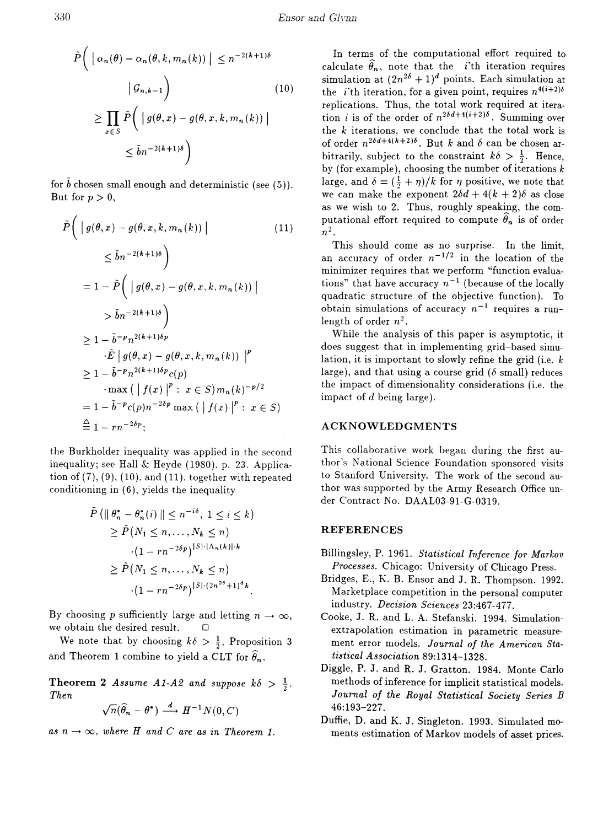$$
\tilde{P}\left(\left|\alpha_n(\theta) - \alpha_n(\theta, k, m_n(k))\right| \le n^{-2(k+1)\delta}
$$
\n
$$
\left|\mathcal{G}_{n,k-1}\right)
$$
\n
$$
\ge \prod_{x \in S} \tilde{P}\left(\left|g(\theta, x) - g(\theta, x, k, m_n(k))\right|\right)
$$
\n
$$
\le \tilde{b}n^{-2(k+1)\delta}
$$
\n(10)

for  $\bar{b}$  chosen small enough and deterministic (see (5)). But for  $p > 0$ ,

$$
\tilde{P}\left(\left|g(\theta,x) - g(\theta,x,k,m_n(k))\right|\right) \tag{11}
$$
\n
$$
\leq \tilde{b}n^{-2(k+1)\delta}\right)
$$
\n
$$
= 1 - \tilde{P}\left(\left|g(\theta,x) - g(\theta,x,k,m_n(k))\right|\right)
$$
\n
$$
> \tilde{b}n^{-2(k+1)\delta}\right)
$$
\n
$$
\geq 1 - \tilde{b}^{-p}n^{2(k+1)\delta p}
$$
\n
$$
\cdot \tilde{E}\left|g(\theta,x) - g(\theta,x,k,m_n(k))\right|^p
$$
\n
$$
\geq 1 - \tilde{b}^{-p}n^{2(k+1)\delta p}c(p)
$$
\n
$$
\cdot \max\left(\left|f(x)\right|^p : x \in S\right)m_n(k)^{-p/2}
$$
\n
$$
= 1 - \tilde{b}^{-p}c(p)n^{-2\delta p} \max\left(\left|f(x)\right|^p : x \in S\right)
$$
\n
$$
\stackrel{\triangle}{=} 1 - rn^{-2\delta p};
$$
\n(4.11)

the Burkholder inequality was applied in the second inequality; see Hall & Heyde (1980), p. 23. Application of  $(7)$ ,  $(9)$ ,  $(10)$ , and  $(11)$ , together with repeated conditioning in (6), yields the inequality

$$
\tilde{P}\left(\left\|\theta_n^* - \theta_n^*(i)\right\| \le n^{-i\delta}, 1 \le i \le k\right)
$$
\n
$$
\ge \tilde{P}\left(N_1 \le n, \ldots, N_k \le n\right)
$$
\n
$$
\cdot (1 - rn^{-2\delta p})^{|S| \cdot |\Lambda_n(k)| \cdot k}
$$
\n
$$
\ge \tilde{P}\left(N_1 \le n, \ldots, N_k \le n\right)
$$
\n
$$
\cdot (1 - rn^{-2\delta p})^{|S| \cdot (2n^{2\delta} + 1)^d k}.
$$

By choosing p sufficiently large and letting  $n \to \infty$ , we obtain the desired result.  $\Box$ 

We note that by choosing  $k\delta > \frac{1}{2}$ , Proposition 3 and Theorem 1 combine to yield a CLT for  $\widehat{\theta}_n$ .

**Theorem 2** Assume A1-A2 and suppose  $k\delta > \frac{1}{2}$ . **Then** 

$$
\sqrt{n}(\widehat{\theta}_n - \theta^*) \stackrel{d}{\longrightarrow} H^{-1}N(0, C)
$$

as  $n \to \infty$ , where H and C are as in Theorem 1.

In terms of the computational effort required to calculate  $\widehat{\theta}_n$ , note that the *i*'th iteration requires simulation at  $(2n^{2\delta}+1)^d$  points. Each simulation at the *i*'th iteration, for a given point, requires  $n^{4(i+2)\delta}$ replications. Thus, the total work required at iteration *i* is of the order of  $n^{2\delta d+4(i+2)\delta}$ . Summing over the  $k$  iterations, we conclude that the total work is of order  $n^{2\delta d+4(k+2)\delta}$ . But k and  $\delta$  can be chosen arbitrarily, subject to the constraint  $k\delta > \frac{1}{2}$ . Hence, by (for example), choosing the number of iterations  $k$ large, and  $\delta = (\frac{1}{2} + \eta)/k$  for  $\eta$  positive, we note that we can make the exponent  $2\delta d + 4(k + 2)\delta$  as close as we wish to 2. Thus, roughly speaking, the computational effort required to compute  $\theta_n$  is of order  $n^2$ .

This should come as no surprise. In the limit, an accuracy of order  $n^{-1/2}$  in the location of the minimizer requires that we perform "function evaluations" that have accuracy  $n^{-1}$  (because of the locally quadratic structure of the objective function). To obtain simulations of accuracy  $n^{-1}$  requires a runlength of order  $n^2$ .

While the analysis of this paper is asymptotic, it does suggest that in implementing grid-based simulation, it is important to slowly refine the grid (i.e.  $k$ large), and that using a course grid ( $\delta$  small) reduces the impact of dimensionality considerations (i.e. the impact of  $d$  being large).

### **ACKNOWLEDGMENTS**

This collaborative work began during the first author's National Science Foundation sponsored visits to Stanford University. The work of the second author was supported by the Army Research Office under Contract No. DAAL03-91-G-0319.

### **REFERENCES**

- Billingsley, P. 1961. Statistical Inference for Markov Processes. Chicago: University of Chicago Press.
- Bridges, E., K. B. Ensor and J. R. Thompson. 1992. Marketplace competition in the personal computer industry. Decision Sciences 23:467-477.
- Cooke, J. R. and L. A. Stefanski. 1994. Simulationextrapolation estimation in parametric measurement error models. Journal of the American Statistical Association 89:1314-1328.
- Diggle, P. J. and R. J. Gratton. 1984. Monte Carlo methods of inference for implicit statistical models. Journal of the Royal Statistical Society Series B 46:193-227.
- Duffie, D. and K. J. Singleton. 1993. Simulated moments estimation of Markov models of asset prices.